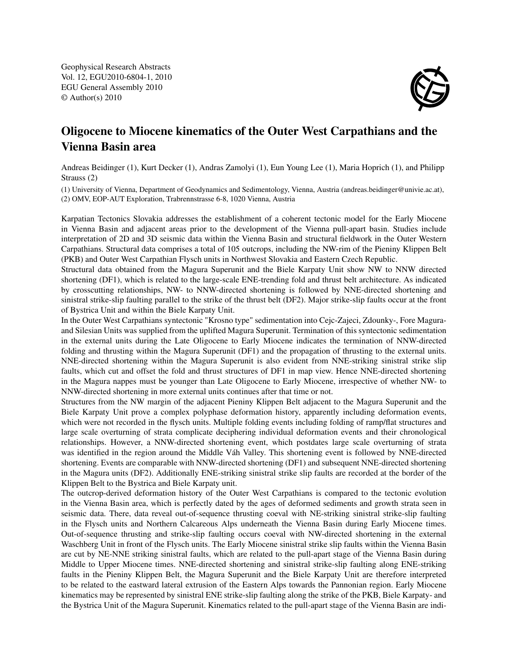Geophysical Research Abstracts Vol. 12, EGU2010-6804-1, 2010 EGU General Assembly 2010 © Author(s) 2010



## Oligocene to Miocene kinematics of the Outer West Carpathians and the Vienna Basin area

Andreas Beidinger (1), Kurt Decker (1), Andras Zamolyi (1), Eun Young Lee (1), Maria Hoprich (1), and Philipp Strauss (2)

(1) University of Vienna, Department of Geodynamics and Sedimentology, Vienna, Austria (andreas.beidinger@univie.ac.at), (2) OMV, EOP-AUT Exploration, Trabrennstrasse 6-8, 1020 Vienna, Austria

Karpatian Tectonics Slovakia addresses the establishment of a coherent tectonic model for the Early Miocene in Vienna Basin and adjacent areas prior to the development of the Vienna pull-apart basin. Studies include interpretation of 2D and 3D seismic data within the Vienna Basin and structural fieldwork in the Outer Western Carpathians. Structural data comprises a total of 105 outcrops, including the NW-rim of the Pieniny Klippen Belt (PKB) and Outer West Carpathian Flysch units in Northwest Slovakia and Eastern Czech Republic.

Structural data obtained from the Magura Superunit and the Biele Karpaty Unit show NW to NNW directed shortening (DF1), which is related to the large-scale ENE-trending fold and thrust belt architecture. As indicated by crosscutting relationships, NW- to NNW-directed shortening is followed by NNE-directed shortening and sinistral strike-slip faulting parallel to the strike of the thrust belt (DF2). Major strike-slip faults occur at the front of Bystrica Unit and within the Biele Karpaty Unit.

In the Outer West Carpathians syntectonic "Krosno type" sedimentation into Cejc-Zajeci, Zdounky-, Fore Maguraand Silesian Units was supplied from the uplifted Magura Superunit. Termination of this syntectonic sedimentation in the external units during the Late Oligocene to Early Miocene indicates the termination of NNW-directed folding and thrusting within the Magura Superunit (DF1) and the propagation of thrusting to the external units. NNE-directed shortening within the Magura Superunit is also evident from NNE-striking sinistral strike slip faults, which cut and offset the fold and thrust structures of DF1 in map view. Hence NNE-directed shortening in the Magura nappes must be younger than Late Oligocene to Early Miocene, irrespective of whether NW- to NNW-directed shortening in more external units continues after that time or not.

Structures from the NW margin of the adjacent Pieniny Klippen Belt adjacent to the Magura Superunit and the Biele Karpaty Unit prove a complex polyphase deformation history, apparently including deformation events, which were not recorded in the flysch units. Multiple folding events including folding of ramp/flat structures and large scale overturning of strata complicate deciphering individual deformation events and their chronological relationships. However, a NNW-directed shortening event, which postdates large scale overturning of strata was identified in the region around the Middle Váh Valley. This shortening event is followed by NNE-directed shortening. Events are comparable with NNW-directed shortening (DF1) and subsequent NNE-directed shortening in the Magura units (DF2). Additionally ENE-striking sinistral strike slip faults are recorded at the border of the Klippen Belt to the Bystrica and Biele Karpaty unit.

The outcrop-derived deformation history of the Outer West Carpathians is compared to the tectonic evolution in the Vienna Basin area, which is perfectly dated by the ages of deformed sediments and growth strata seen in seismic data. There, data reveal out-of-sequence thrusting coeval with NE-striking sinistral strike-slip faulting in the Flysch units and Northern Calcareous Alps underneath the Vienna Basin during Early Miocene times. Out-of-sequence thrusting and strike-slip faulting occurs coeval with NW-directed shortening in the external Waschberg Unit in front of the Flysch units. The Early Miocene sinistral strike slip faults within the Vienna Basin are cut by NE-NNE striking sinistral faults, which are related to the pull-apart stage of the Vienna Basin during Middle to Upper Miocene times. NNE-directed shortening and sinistral strike-slip faulting along ENE-striking faults in the Pieniny Klippen Belt, the Magura Superunit and the Biele Karpaty Unit are therefore interpreted to be related to the eastward lateral extrusion of the Eastern Alps towards the Pannonian region. Early Miocene kinematics may be represented by sinistral ENE strike-slip faulting along the strike of the PKB, Biele Karpaty- and the Bystrica Unit of the Magura Superunit. Kinematics related to the pull-apart stage of the Vienna Basin are indi